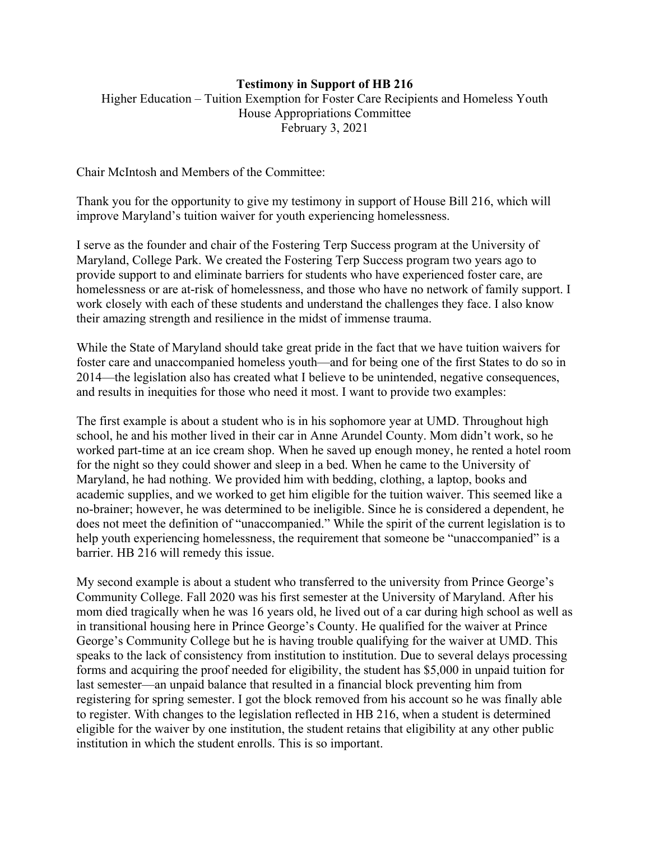## **Testimony in Support of HB 216**

Higher Education – Tuition Exemption for Foster Care Recipients and Homeless Youth House Appropriations Committee February 3, 2021

Chair McIntosh and Members of the Committee:

Thank you for the opportunity to give my testimony in support of House Bill 216, which will improve Maryland's tuition waiver for youth experiencing homelessness.

I serve as the founder and chair of the Fostering Terp Success program at the University of Maryland, College Park. We created the Fostering Terp Success program two years ago to provide support to and eliminate barriers for students who have experienced foster care, are homelessness or are at-risk of homelessness, and those who have no network of family support. I work closely with each of these students and understand the challenges they face. I also know their amazing strength and resilience in the midst of immense trauma.

While the State of Maryland should take great pride in the fact that we have tuition waivers for foster care and unaccompanied homeless youth—and for being one of the first States to do so in 2014—the legislation also has created what I believe to be unintended, negative consequences, and results in inequities for those who need it most. I want to provide two examples:

The first example is about a student who is in his sophomore year at UMD. Throughout high school, he and his mother lived in their car in Anne Arundel County. Mom didn't work, so he worked part-time at an ice cream shop. When he saved up enough money, he rented a hotel room for the night so they could shower and sleep in a bed. When he came to the University of Maryland, he had nothing. We provided him with bedding, clothing, a laptop, books and academic supplies, and we worked to get him eligible for the tuition waiver. This seemed like a no-brainer; however, he was determined to be ineligible. Since he is considered a dependent, he does not meet the definition of "unaccompanied." While the spirit of the current legislation is to help youth experiencing homelessness, the requirement that someone be "unaccompanied" is a barrier. HB 216 will remedy this issue.

My second example is about a student who transferred to the university from Prince George's Community College. Fall 2020 was his first semester at the University of Maryland. After his mom died tragically when he was 16 years old, he lived out of a car during high school as well as in transitional housing here in Prince George's County. He qualified for the waiver at Prince George's Community College but he is having trouble qualifying for the waiver at UMD. This speaks to the lack of consistency from institution to institution. Due to several delays processing forms and acquiring the proof needed for eligibility, the student has \$5,000 in unpaid tuition for last semester—an unpaid balance that resulted in a financial block preventing him from registering for spring semester. I got the block removed from his account so he was finally able to register. With changes to the legislation reflected in HB 216, when a student is determined eligible for the waiver by one institution, the student retains that eligibility at any other public institution in which the student enrolls. This is so important.